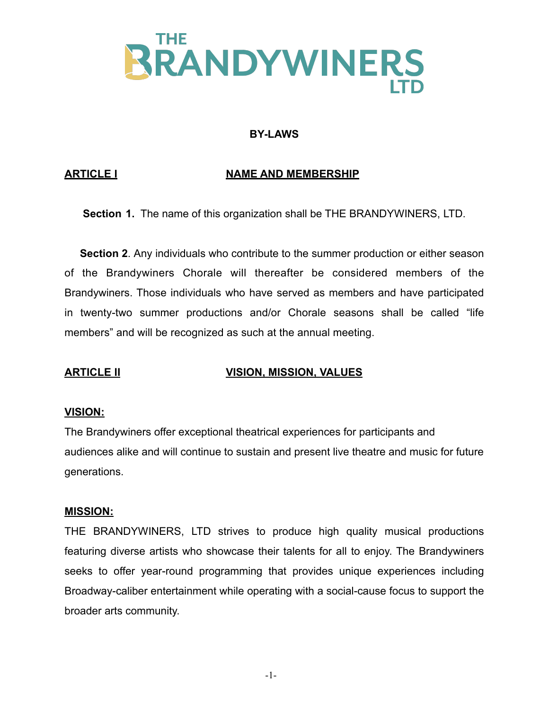

## **BY-LAWS**

## **ARTICLE I NAME AND MEMBERSHIP**

**Section 1.** The name of this organization shall be THE BRANDYWINERS, LTD.

 **Section 2**. Any individuals who contribute to the summer production or either season of the Brandywiners Chorale will thereafter be considered members of the Brandywiners. Those individuals who have served as members and have participated in twenty-two summer productions and/or Chorale seasons shall be called "life members" and will be recognized as such at the annual meeting.

# **ARTICLE II VISION, MISSION, VALUES**

### **VISION:**

The Brandywiners offer exceptional theatrical experiences for participants and audiences alike and will continue to sustain and present live theatre and music for future generations.

#### **MISSION:**

THE BRANDYWINERS, LTD strives to produce high quality musical productions featuring diverse artists who showcase their talents for all to enjoy. The Brandywiners seeks to offer year-round programming that provides unique experiences including Broadway-caliber entertainment while operating with a social-cause focus to support the broader arts community.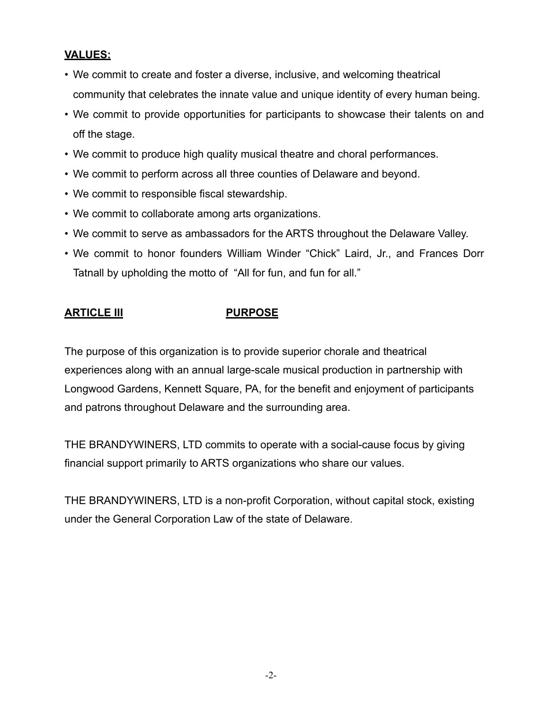# **VALUES:**

- We commit to create and foster a diverse, inclusive, and welcoming theatrical community that celebrates the innate value and unique identity of every human being.
- We commit to provide opportunities for participants to showcase their talents on and off the stage.
- We commit to produce high quality musical theatre and choral performances.
- We commit to perform across all three counties of Delaware and beyond.
- We commit to responsible fiscal stewardship.
- We commit to collaborate among arts organizations.
- We commit to serve as ambassadors for the ARTS throughout the Delaware Valley.
- We commit to honor founders William Winder "Chick" Laird, Jr., and Frances Dorr Tatnall by upholding the motto of "All for fun, and fun for all."

# **ARTICLE III PURPOSE**

The purpose of this organization is to provide superior chorale and theatrical experiences along with an annual large-scale musical production in partnership with Longwood Gardens, Kennett Square, PA, for the benefit and enjoyment of participants and patrons throughout Delaware and the surrounding area.

THE BRANDYWINERS, LTD commits to operate with a social-cause focus by giving financial support primarily to ARTS organizations who share our values.

THE BRANDYWINERS, LTD is a non-profit Corporation, without capital stock, existing under the General Corporation Law of the state of Delaware.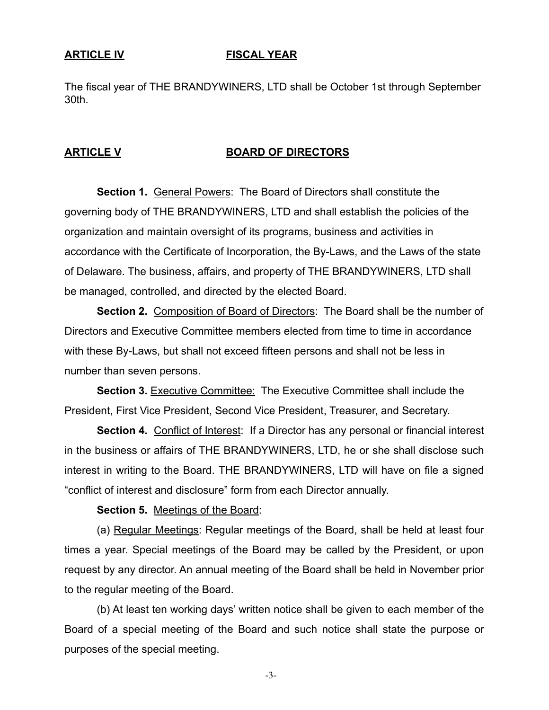### **ARTICLE IV FISCAL YEAR**

The fiscal year of THE BRANDYWINERS, LTD shall be October 1st through September 30th.

### **ARTICLE V BOARD OF DIRECTORS**

**Section 1. General Powers: The Board of Directors shall constitute the** governing body of THE BRANDYWINERS, LTD and shall establish the policies of the organization and maintain oversight of its programs, business and activities in accordance with the Certificate of Incorporation, the By-Laws, and the Laws of the state of Delaware. The business, affairs, and property of THE BRANDYWINERS, LTD shall be managed, controlled, and directed by the elected Board.

**Section 2.** Composition of Board of Directors: The Board shall be the number of Directors and Executive Committee members elected from time to time in accordance with these By-Laws, but shall not exceed fifteen persons and shall not be less in number than seven persons.

**Section 3. Executive Committee: The Executive Committee shall include the** President, First Vice President, Second Vice President, Treasurer, and Secretary.

**Section 4.** Conflict of Interest: If a Director has any personal or financial interest in the business or affairs of THE BRANDYWINERS, LTD, he or she shall disclose such interest in writing to the Board. THE BRANDYWINERS, LTD will have on file a signed "conflict of interest and disclosure" form from each Director annually.

**Section 5.** Meetings of the Board:

(a) Regular Meetings: Regular meetings of the Board, shall be held at least four times a year. Special meetings of the Board may be called by the President, or upon request by any director. An annual meeting of the Board shall be held in November prior to the regular meeting of the Board.

(b) At least ten working days' written notice shall be given to each member of the Board of a special meeting of the Board and such notice shall state the purpose or purposes of the special meeting.

-3-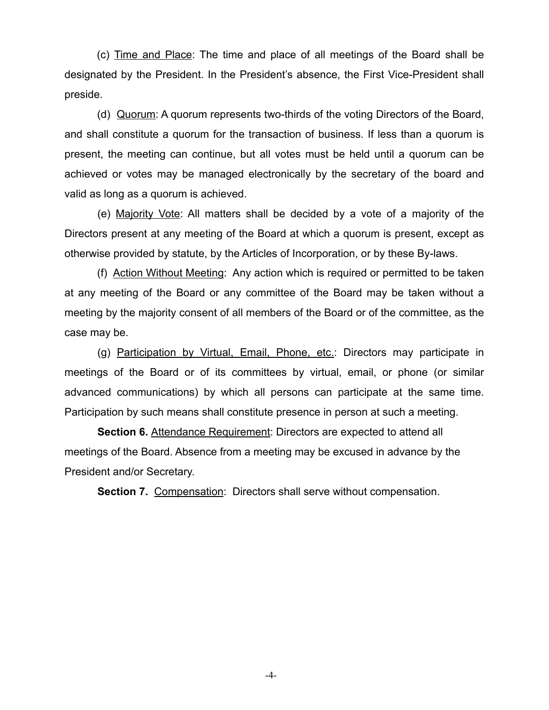(c) Time and Place: The time and place of all meetings of the Board shall be designated by the President. In the President's absence, the First Vice-President shall preside.

(d) Quorum: A quorum represents two-thirds of the voting Directors of the Board, and shall constitute a quorum for the transaction of business. If less than a quorum is present, the meeting can continue, but all votes must be held until a quorum can be achieved or votes may be managed electronically by the secretary of the board and valid as long as a quorum is achieved.

(e) Majority Vote: All matters shall be decided by a vote of a majority of the Directors present at any meeting of the Board at which a quorum is present, except as otherwise provided by statute, by the Articles of Incorporation, or by these By-laws.

(f) Action Without Meeting: Any action which is required or permitted to be taken at any meeting of the Board or any committee of the Board may be taken without a meeting by the majority consent of all members of the Board or of the committee, as the case may be.

(g) Participation by Virtual, Email, Phone, etc.: Directors may participate in meetings of the Board or of its committees by virtual, email, or phone (or similar advanced communications) by which all persons can participate at the same time. Participation by such means shall constitute presence in person at such a meeting.

**Section 6. Attendance Requirement: Directors are expected to attend all** meetings of the Board. Absence from a meeting may be excused in advance by the President and/or Secretary.

**Section 7.** Compensation: Directors shall serve without compensation.

-4-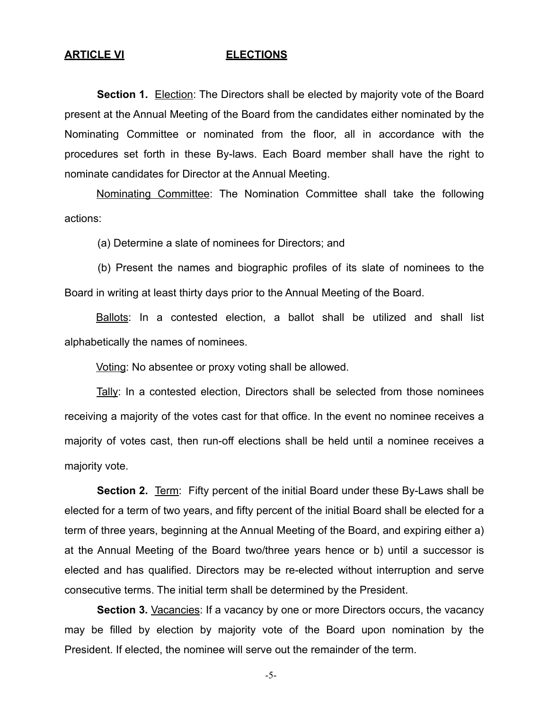#### **ARTICLE VI ELECTIONS**

**Section 1.** Election: The Directors shall be elected by majority vote of the Board present at the Annual Meeting of the Board from the candidates either nominated by the Nominating Committee or nominated from the floor, all in accordance with the procedures set forth in these By-laws. Each Board member shall have the right to nominate candidates for Director at the Annual Meeting.

Nominating Committee: The Nomination Committee shall take the following actions:

(a) Determine a slate of nominees for Directors; and

(b) Present the names and biographic profiles of its slate of nominees to the Board in writing at least thirty days prior to the Annual Meeting of the Board.

Ballots: In a contested election, a ballot shall be utilized and shall list alphabetically the names of nominees.

Voting: No absentee or proxy voting shall be allowed.

Tally: In a contested election, Directors shall be selected from those nominees receiving a majority of the votes cast for that office. In the event no nominee receives a majority of votes cast, then run-off elections shall be held until a nominee receives a majority vote.

**Section 2.** Term: Fifty percent of the initial Board under these By-Laws shall be elected for a term of two years, and fifty percent of the initial Board shall be elected for a term of three years, beginning at the Annual Meeting of the Board, and expiring either a) at the Annual Meeting of the Board two/three years hence or b) until a successor is elected and has qualified. Directors may be re-elected without interruption and serve consecutive terms. The initial term shall be determined by the President.

**Section 3.** Vacancies: If a vacancy by one or more Directors occurs, the vacancy may be filled by election by majority vote of the Board upon nomination by the President. If elected, the nominee will serve out the remainder of the term.

-5-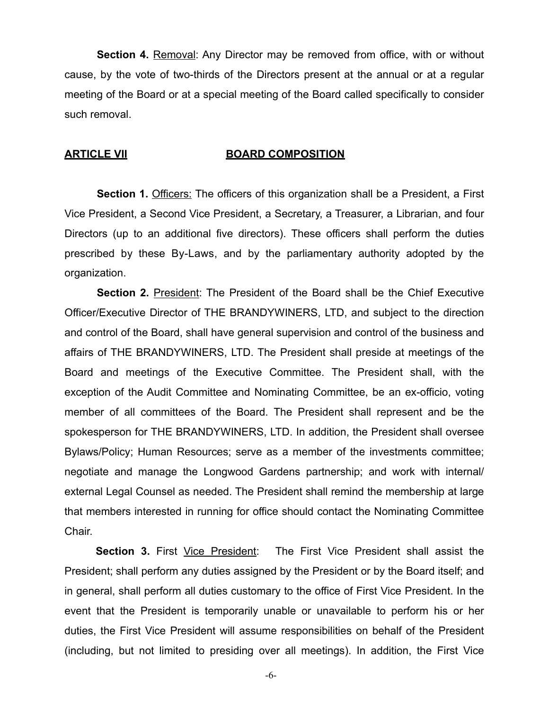**Section 4.** Removal: Any Director may be removed from office, with or without cause, by the vote of two-thirds of the Directors present at the annual or at a regular meeting of the Board or at a special meeting of the Board called specifically to consider such removal.

### **ARTICLE VII BOARD COMPOSITION**

**Section 1.** Officers: The officers of this organization shall be a President, a First Vice President, a Second Vice President, a Secretary, a Treasurer, a Librarian, and four Directors (up to an additional five directors). These officers shall perform the duties prescribed by these By-Laws, and by the parliamentary authority adopted by the organization.

**Section 2.** President: The President of the Board shall be the Chief Executive Officer/Executive Director of THE BRANDYWINERS, LTD, and subject to the direction and control of the Board, shall have general supervision and control of the business and affairs of THE BRANDYWINERS, LTD. The President shall preside at meetings of the Board and meetings of the Executive Committee. The President shall, with the exception of the Audit Committee and Nominating Committee, be an ex-officio, voting member of all committees of the Board. The President shall represent and be the spokesperson for THE BRANDYWINERS, LTD. In addition, the President shall oversee Bylaws/Policy; Human Resources; serve as a member of the investments committee; negotiate and manage the Longwood Gardens partnership; and work with internal/ external Legal Counsel as needed. The President shall remind the membership at large that members interested in running for office should contact the Nominating Committee Chair.

**Section 3.** First Vice President: The First Vice President shall assist the President; shall perform any duties assigned by the President or by the Board itself; and in general, shall perform all duties customary to the office of First Vice President. In the event that the President is temporarily unable or unavailable to perform his or her duties, the First Vice President will assume responsibilities on behalf of the President (including, but not limited to presiding over all meetings). In addition, the First Vice

-6-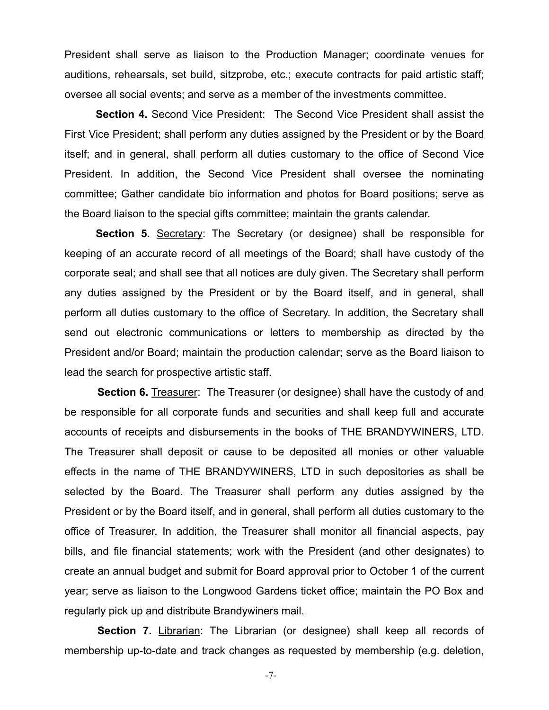President shall serve as liaison to the Production Manager; coordinate venues for auditions, rehearsals, set build, sitzprobe, etc.; execute contracts for paid artistic staff; oversee all social events; and serve as a member of the investments committee.

**Section 4.** Second Vice President: The Second Vice President shall assist the First Vice President; shall perform any duties assigned by the President or by the Board itself; and in general, shall perform all duties customary to the office of Second Vice President. In addition, the Second Vice President shall oversee the nominating committee; Gather candidate bio information and photos for Board positions; serve as the Board liaison to the special gifts committee; maintain the grants calendar.

**Section 5.** Secretary: The Secretary (or designee) shall be responsible for keeping of an accurate record of all meetings of the Board; shall have custody of the corporate seal; and shall see that all notices are duly given. The Secretary shall perform any duties assigned by the President or by the Board itself, and in general, shall perform all duties customary to the office of Secretary. In addition, the Secretary shall send out electronic communications or letters to membership as directed by the President and/or Board; maintain the production calendar; serve as the Board liaison to lead the search for prospective artistic staff.

**Section 6.** Treasurer: The Treasurer (or designee) shall have the custody of and be responsible for all corporate funds and securities and shall keep full and accurate accounts of receipts and disbursements in the books of THE BRANDYWINERS, LTD. The Treasurer shall deposit or cause to be deposited all monies or other valuable effects in the name of THE BRANDYWINERS, LTD in such depositories as shall be selected by the Board. The Treasurer shall perform any duties assigned by the President or by the Board itself, and in general, shall perform all duties customary to the office of Treasurer. In addition, the Treasurer shall monitor all financial aspects, pay bills, and file financial statements; work with the President (and other designates) to create an annual budget and submit for Board approval prior to October 1 of the current year; serve as liaison to the Longwood Gardens ticket office; maintain the PO Box and regularly pick up and distribute Brandywiners mail.

**Section 7.** Librarian: The Librarian (or designee) shall keep all records of membership up-to-date and track changes as requested by membership (e.g. deletion,

-7-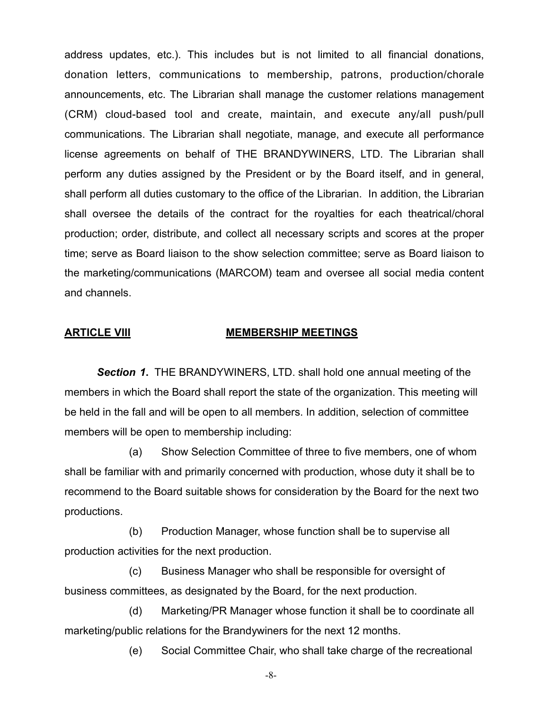address updates, etc.). This includes but is not limited to all financial donations, donation letters, communications to membership, patrons, production/chorale announcements, etc. The Librarian shall manage the customer relations management (CRM) cloud-based tool and create, maintain, and execute any/all push/pull communications. The Librarian shall negotiate, manage, and execute all performance license agreements on behalf of THE BRANDYWINERS, LTD. The Librarian shall perform any duties assigned by the President or by the Board itself, and in general, shall perform all duties customary to the office of the Librarian. In addition, the Librarian shall oversee the details of the contract for the royalties for each theatrical/choral production; order, distribute, and collect all necessary scripts and scores at the proper time; serve as Board liaison to the show selection committee; serve as Board liaison to the marketing/communications (MARCOM) team and oversee all social media content and channels.

### **ARTICLE VIII MEMBERSHIP MEETINGS**

*Section 1***.** THE BRANDYWINERS, LTD. shall hold one annual meeting of the members in which the Board shall report the state of the organization. This meeting will be held in the fall and will be open to all members. In addition, selection of committee members will be open to membership including:

(a) Show Selection Committee of three to five members, one of whom shall be familiar with and primarily concerned with production, whose duty it shall be to recommend to the Board suitable shows for consideration by the Board for the next two productions.

(b) Production Manager, whose function shall be to supervise all production activities for the next production.

(c) Business Manager who shall be responsible for oversight of business committees, as designated by the Board, for the next production.

(d) Marketing/PR Manager whose function it shall be to coordinate all marketing/public relations for the Brandywiners for the next 12 months.

(e) Social Committee Chair, who shall take charge of the recreational

-8-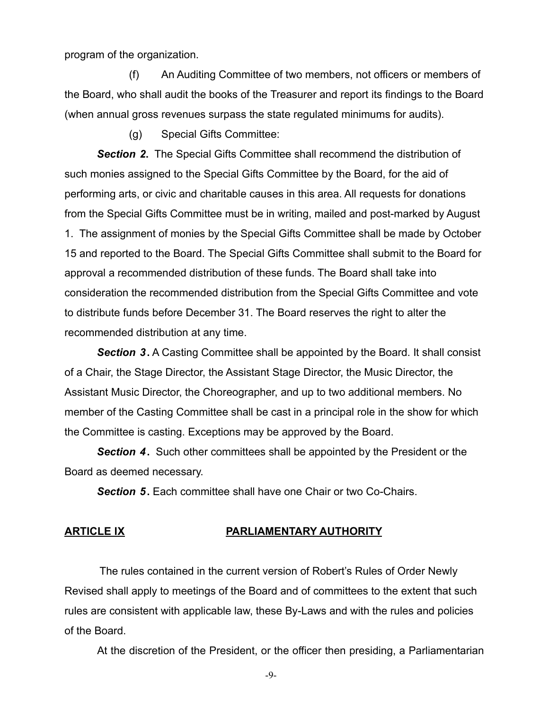program of the organization.

(f) An Auditing Committee of two members, not officers or members of the Board, who shall audit the books of the Treasurer and report its findings to the Board (when annual gross revenues surpass the state regulated minimums for audits).

(g) Special Gifts Committee:

*Section 2***.** The Special Gifts Committee shall recommend the distribution of such monies assigned to the Special Gifts Committee by the Board, for the aid of performing arts, or civic and charitable causes in this area. All requests for donations from the Special Gifts Committee must be in writing, mailed and post-marked by August 1. The assignment of monies by the Special Gifts Committee shall be made by October 15 and reported to the Board. The Special Gifts Committee shall submit to the Board for approval a recommended distribution of these funds. The Board shall take into consideration the recommended distribution from the Special Gifts Committee and vote to distribute funds before December 31. The Board reserves the right to alter the recommended distribution at any time.

*Section 3***.** A Casting Committee shall be appointed by the Board. It shall consist of a Chair, the Stage Director, the Assistant Stage Director, the Music Director, the Assistant Music Director, the Choreographer, and up to two additional members. No member of the Casting Committee shall be cast in a principal role in the show for which the Committee is casting. Exceptions may be approved by the Board.

*Section 4***.** Such other committees shall be appointed by the President or the Board as deemed necessary.

*Section 5***.** Each committee shall have one Chair or two Co-Chairs.

### **ARTICLE IX PARLIAMENTARY AUTHORITY**

 The rules contained in the current version of Robert's Rules of Order Newly Revised shall apply to meetings of the Board and of committees to the extent that such rules are consistent with applicable law, these By-Laws and with the rules and policies of the Board.

At the discretion of the President, or the officer then presiding, a Parliamentarian

-9-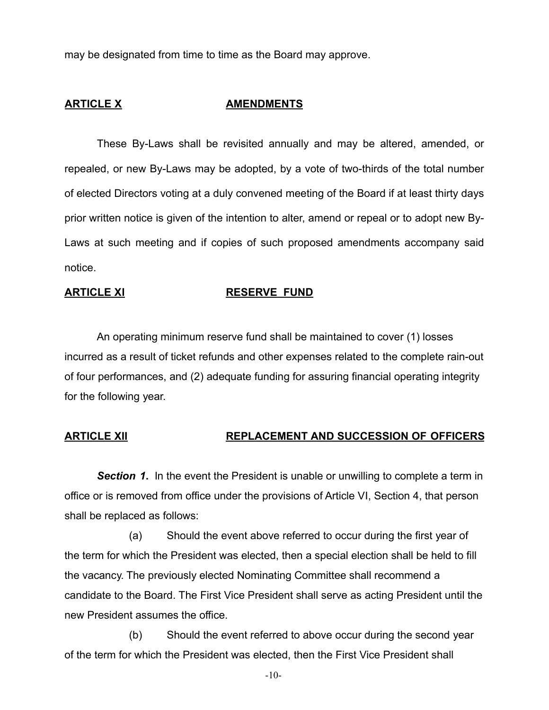may be designated from time to time as the Board may approve.

### **ARTICLE X AMENDMENTS**

These By-Laws shall be revisited annually and may be altered, amended, or repealed, or new By-Laws may be adopted, by a vote of two-thirds of the total number of elected Directors voting at a duly convened meeting of the Board if at least thirty days prior written notice is given of the intention to alter, amend or repeal or to adopt new By-Laws at such meeting and if copies of such proposed amendments accompany said notice.

### **ARTICLE XI RESERVE FUND**

An operating minimum reserve fund shall be maintained to cover (1) losses incurred as a result of ticket refunds and other expenses related to the complete rain-out of four performances, and (2) adequate funding for assuring financial operating integrity for the following year.

# **ARTICLE XII REPLACEMENT AND SUCCESSION OF OFFICERS**

*Section 1***.** In the event the President is unable or unwilling to complete a term in office or is removed from office under the provisions of Article VI, Section 4, that person shall be replaced as follows:

(a) Should the event above referred to occur during the first year of the term for which the President was elected, then a special election shall be held to fill the vacancy. The previously elected Nominating Committee shall recommend a candidate to the Board. The First Vice President shall serve as acting President until the new President assumes the office.

(b) Should the event referred to above occur during the second year of the term for which the President was elected, then the First Vice President shall